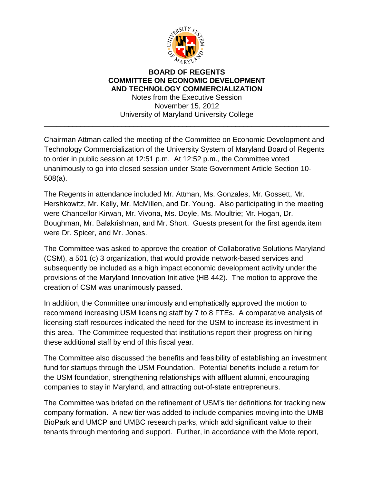

## **BOARD OF REGENTS COMMITTEE ON ECONOMIC DEVELOPMENT AND TECHNOLOGY COMMERCIALIZATION** Notes from the Executive Session November 15, 2012 University of Maryland University College

\_\_\_\_\_\_\_\_\_\_\_\_\_\_\_\_\_\_\_\_\_\_\_\_\_\_\_\_\_\_\_\_\_\_\_\_\_\_\_\_\_\_\_\_\_\_\_\_\_\_\_\_\_\_\_\_\_\_\_\_\_\_\_\_\_\_\_\_\_\_

Chairman Attman called the meeting of the Committee on Economic Development and Technology Commercialization of the University System of Maryland Board of Regents to order in public session at 12:51 p.m. At 12:52 p.m., the Committee voted unanimously to go into closed session under State Government Article Section 10- 508(a).

The Regents in attendance included Mr. Attman, Ms. Gonzales, Mr. Gossett, Mr. Hershkowitz, Mr. Kelly, Mr. McMillen, and Dr. Young. Also participating in the meeting were Chancellor Kirwan, Mr. Vivona, Ms. Doyle, Ms. Moultrie; Mr. Hogan, Dr. Boughman, Mr. Balakrishnan, and Mr. Short. Guests present for the first agenda item were Dr. Spicer, and Mr. Jones.

The Committee was asked to approve the creation of Collaborative Solutions Maryland (CSM), a 501 (c) 3 organization, that would provide network-based services and subsequently be included as a high impact economic development activity under the provisions of the Maryland Innovation Initiative (HB 442). The motion to approve the creation of CSM was unanimously passed.

In addition, the Committee unanimously and emphatically approved the motion to recommend increasing USM licensing staff by 7 to 8 FTEs. A comparative analysis of licensing staff resources indicated the need for the USM to increase its investment in this area. The Committee requested that institutions report their progress on hiring these additional staff by end of this fiscal year.

The Committee also discussed the benefits and feasibility of establishing an investment fund for startups through the USM Foundation. Potential benefits include a return for the USM foundation, strengthening relationships with affluent alumni, encouraging companies to stay in Maryland, and attracting out-of-state entrepreneurs.

The Committee was briefed on the refinement of USM's tier definitions for tracking new company formation. A new tier was added to include companies moving into the UMB BioPark and UMCP and UMBC research parks, which add significant value to their tenants through mentoring and support. Further, in accordance with the Mote report,